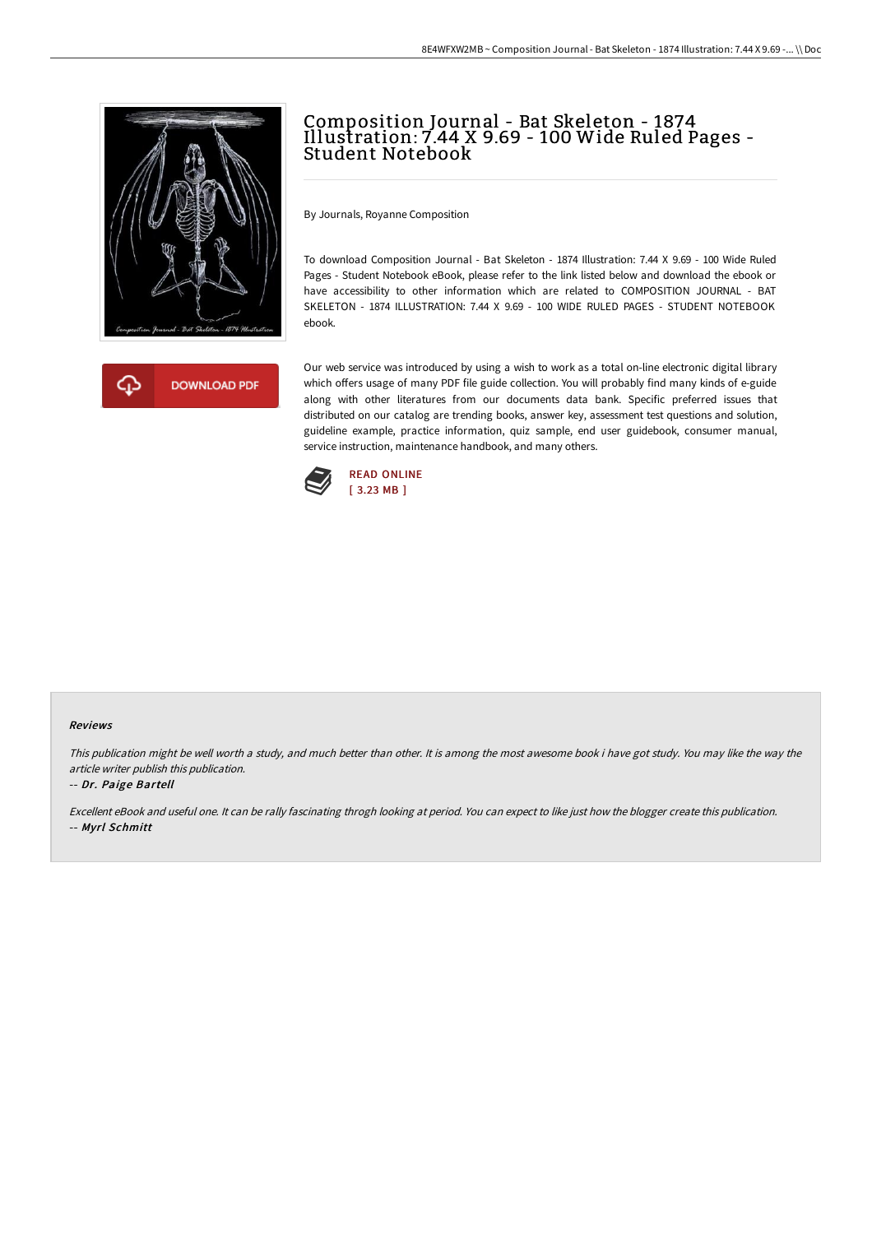



# Composition Journal - Bat Skeleton - 1874 Illustration: 7.44 X 9.69 - 100 Wide Ruled Pages - Student Notebook

By Journals, Royanne Composition

To download Composition Journal - Bat Skeleton - 1874 Illustration: 7.44 X 9.69 - 100 Wide Ruled Pages - Student Notebook eBook, please refer to the link listed below and download the ebook or have accessibility to other information which are related to COMPOSITION JOURNAL - BAT SKELETON - 1874 ILLUSTRATION: 7.44 X 9.69 - 100 WIDE RULED PAGES - STUDENT NOTEBOOK ebook.

Our web service was introduced by using a wish to work as a total on-line electronic digital library which offers usage of many PDF file guide collection. You will probably find many kinds of e-guide along with other literatures from our documents data bank. Specific preferred issues that distributed on our catalog are trending books, answer key, assessment test questions and solution, guideline example, practice information, quiz sample, end user guidebook, consumer manual, service instruction, maintenance handbook, and many others.



#### Reviews

This publication might be well worth <sup>a</sup> study, and much better than other. It is among the most awesome book i have got study. You may like the way the article writer publish this publication.

#### -- Dr. Paige Bartell

Excellent eBook and useful one. It can be rally fascinating throgh looking at period. You can expect to like just how the blogger create this publication. -- Myrl Schmitt